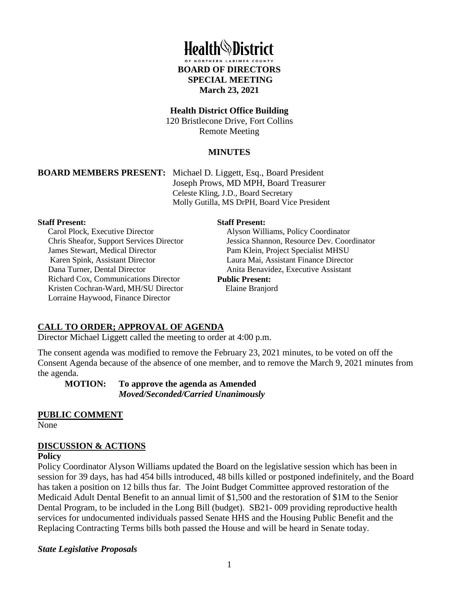

#### **Health District Office Building**

120 Bristlecone Drive, Fort Collins Remote Meeting

#### **MINUTES**

**BOARD MEMBERS PRESENT:** Michael D. Liggett, Esq., Board President Joseph Prows, MD MPH, Board Treasurer Celeste Kling, J.D., Board Secretary Molly Gutilla, MS DrPH, Board Vice President

#### **Staff Present:**

Carol Plock, Executive Director Chris Sheafor, Support Services Director James Stewart, Medical Director Karen Spink, Assistant Director Dana Turner, Dental Director Richard Cox, Communications Director Kristen Cochran-Ward, MH/SU Director Lorraine Haywood, Finance Director

#### **Staff Present:**

Alyson Williams, Policy Coordinator Jessica Shannon, Resource Dev. Coordinator Pam Klein, Project Specialist MHSU Laura Mai, Assistant Finance Director Anita Benavidez, Executive Assistant **Public Present:**

Elaine Branjord

## **CALL TO ORDER; APPROVAL OF AGENDA**

Director Michael Liggett called the meeting to order at 4:00 p.m.

The consent agenda was modified to remove the February 23, 2021 minutes, to be voted on off the Consent Agenda because of the absence of one member, and to remove the March 9, 2021 minutes from the agenda.

**MOTION: To approve the agenda as Amended**  *Moved/Seconded/Carried Unanimously* 

# **PUBLIC COMMENT**

None

## **DISCUSSION & ACTIONS**

#### **Policy**

Policy Coordinator Alyson Williams updated the Board on the legislative session which has been in session for 39 days, has had 454 bills introduced, 48 bills killed or postponed indefinitely, and the Board has taken a position on 12 bills thus far. The Joint Budget Committee approved restoration of the Medicaid Adult Dental Benefit to an annual limit of \$1,500 and the restoration of \$1M to the Senior Dental Program, to be included in the Long Bill (budget). SB21- 009 providing reproductive health services for undocumented individuals passed Senate HHS and the Housing Public Benefit and the Replacing Contracting Terms bills both passed the House and will be heard in Senate today.

#### *State Legislative Proposals*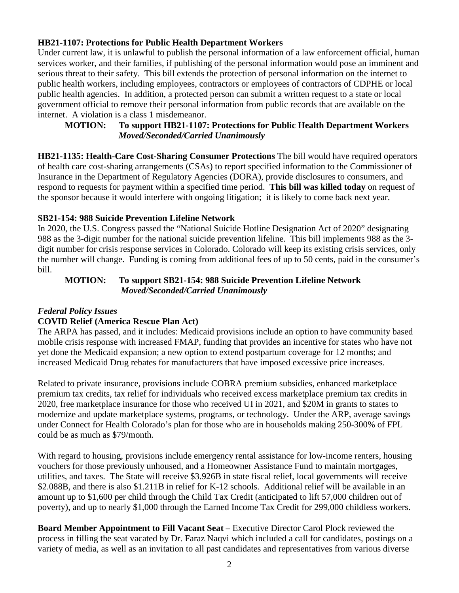#### **HB21-1107: Protections for Public Health Department Workers**

Under current law, it is unlawful to publish the personal information of a law enforcement official, human services worker, and their families, if publishing of the personal information would pose an imminent and serious threat to their safety. This bill extends the protection of personal information on the internet to public health workers, including employees, contractors or employees of contractors of CDPHE or local public health agencies. In addition, a protected person can submit a written request to a state or local government official to remove their personal information from public records that are available on the internet. A violation is a class 1 misdemeanor.

## **MOTION: To support HB21-1107: Protections for Public Health Department Workers**  *Moved/Seconded/Carried Unanimously*

**HB21-1135: Health-Care Cost-Sharing Consumer Protections** The bill would have required operators of health care cost-sharing arrangements (CSAs) to report specified information to the Commissioner of Insurance in the Department of Regulatory Agencies (DORA), provide disclosures to consumers, and respond to requests for payment within a specified time period. **This bill was killed today** on request of the sponsor because it would interfere with ongoing litigation; it is likely to come back next year.

## **SB21-154: 988 Suicide Prevention Lifeline Network**

In 2020, the U.S. Congress passed the "National Suicide Hotline Designation Act of 2020" designating 988 as the 3-digit number for the national suicide prevention lifeline. This bill implements 988 as the 3 digit number for crisis response services in Colorado. Colorado will keep its existing crisis services, only the number will change. Funding is coming from additional fees of up to 50 cents, paid in the consumer's bill.

## **MOTION: To support SB21-154: 988 Suicide Prevention Lifeline Network**   *Moved/Seconded/Carried Unanimously*

# *Federal Policy Issues*

## **COVID Relief (America Rescue Plan Act)**

The ARPA has passed, and it includes: Medicaid provisions include an option to have community based mobile crisis response with increased FMAP, funding that provides an incentive for states who have not yet done the Medicaid expansion; a new option to extend postpartum coverage for 12 months; and increased Medicaid Drug rebates for manufacturers that have imposed excessive price increases.

Related to private insurance, provisions include COBRA premium subsidies, enhanced marketplace premium tax credits, tax relief for individuals who received excess marketplace premium tax credits in 2020, free marketplace insurance for those who received UI in 2021, and \$20M in grants to states to modernize and update marketplace systems, programs, or technology. Under the ARP, average savings under Connect for Health Colorado's plan for those who are in households making 250-300% of FPL could be as much as \$79/month.

With regard to housing, provisions include emergency rental assistance for low-income renters, housing vouchers for those previously unhoused, and a Homeowner Assistance Fund to maintain mortgages, utilities, and taxes. The State will receive \$3.926B in state fiscal relief, local governments will receive \$2.088B, and there is also \$1.211B in relief for K-12 schools. Additional relief will be available in an amount up to \$1,600 per child through the Child Tax Credit (anticipated to lift 57,000 children out of poverty), and up to nearly \$1,000 through the Earned Income Tax Credit for 299,000 childless workers.

**Board Member Appointment to Fill Vacant Seat** – Executive Director Carol Plock reviewed the process in filling the seat vacated by Dr. Faraz Naqvi which included a call for candidates, postings on a variety of media, as well as an invitation to all past candidates and representatives from various diverse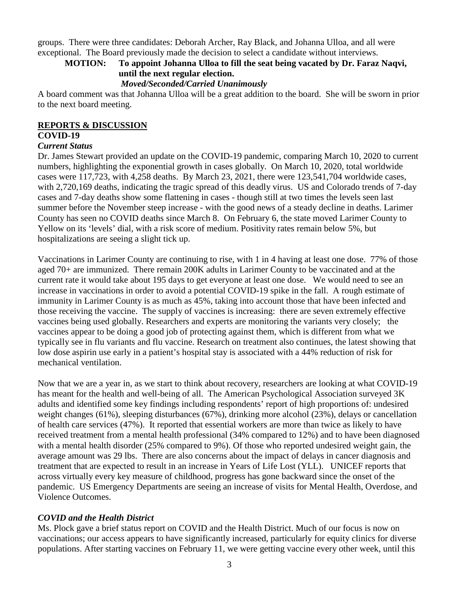groups. There were three candidates: Deborah Archer, Ray Black, and Johanna Ulloa, and all were exceptional. The Board previously made the decision to select a candidate without interviews.

# **MOTION: To appoint Johanna Ulloa to fill the seat being vacated by Dr. Faraz Naqvi, until the next regular election.**

#### *Moved/Seconded/Carried Unanimously*

A board comment was that Johanna Ulloa will be a great addition to the board. She will be sworn in prior to the next board meeting.

# **REPORTS & DISCUSSION**

## **COVID-19**

#### *Current Status*

Dr. James Stewart provided an update on the COVID-19 pandemic, comparing March 10, 2020 to current numbers, highlighting the exponential growth in cases globally. On March 10, 2020, total worldwide cases were 117,723, with 4,258 deaths. By March 23, 2021, there were 123,541,704 worldwide cases, with 2,720,169 deaths, indicating the tragic spread of this deadly virus. US and Colorado trends of 7-day cases and 7-day deaths show some flattening in cases - though still at two times the levels seen last summer before the November steep increase - with the good news of a steady decline in deaths. Larimer County has seen no COVID deaths since March 8. On February 6, the state moved Larimer County to Yellow on its 'levels' dial, with a risk score of medium. Positivity rates remain below 5%, but hospitalizations are seeing a slight tick up.

Vaccinations in Larimer County are continuing to rise, with 1 in 4 having at least one dose. 77% of those aged 70+ are immunized. There remain 200K adults in Larimer County to be vaccinated and at the current rate it would take about 195 days to get everyone at least one dose. We would need to see an increase in vaccinations in order to avoid a potential COVID-19 spike in the fall. A rough estimate of immunity in Larimer County is as much as 45%, taking into account those that have been infected and those receiving the vaccine. The supply of vaccines is increasing: there are seven extremely effective vaccines being used globally. Researchers and experts are monitoring the variants very closely; the vaccines appear to be doing a good job of protecting against them, which is different from what we typically see in flu variants and flu vaccine. Research on treatment also continues, the latest showing that low dose aspirin use early in a patient's hospital stay is associated with a 44% reduction of risk for mechanical ventilation.

Now that we are a year in, as we start to think about recovery, researchers are looking at what COVID-19 has meant for the health and well-being of all. The American Psychological Association surveyed 3K adults and identified some key findings including respondents' report of high proportions of: undesired weight changes (61%), sleeping disturbances (67%), drinking more alcohol (23%), delays or cancellation of health care services (47%). It reported that essential workers are more than twice as likely to have received treatment from a mental health professional (34% compared to 12%) and to have been diagnosed with a mental health disorder (25% compared to 9%). Of those who reported undesired weight gain, the average amount was 29 lbs. There are also concerns about the impact of delays in cancer diagnosis and treatment that are expected to result in an increase in Years of Life Lost (YLL). UNICEF reports that across virtually every key measure of childhood, progress has gone backward since the onset of the pandemic. US Emergency Departments are seeing an increase of visits for Mental Health, Overdose, and Violence Outcomes.

## *COVID and the Health District*

Ms. Plock gave a brief status report on COVID and the Health District. Much of our focus is now on vaccinations; our access appears to have significantly increased, particularly for equity clinics for diverse populations. After starting vaccines on February 11, we were getting vaccine every other week, until this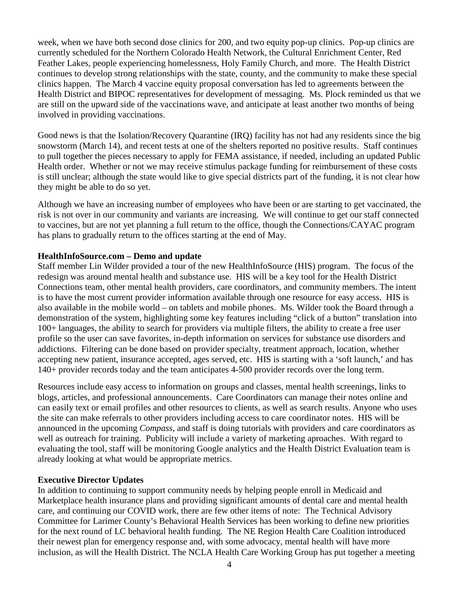week, when we have both second dose clinics for 200, and two equity pop-up clinics. Pop-up clinics are currently scheduled for the Northern Colorado Health Network, the Cultural Enrichment Center, Red Feather Lakes, people experiencing homelessness, Holy Family Church, and more. The Health District continues to develop strong relationships with the state, county, and the community to make these special clinics happen. The March 4 vaccine equity proposal conversation has led to agreements between the Health District and BIPOC representatives for development of messaging. Ms. Plock reminded us that we are still on the upward side of the vaccinations wave, and anticipate at least another two months of being involved in providing vaccinations.

Good news is that the Isolation/Recovery Quarantine (IRQ) facility has not had any residents since the big snowstorm (March 14), and recent tests at one of the shelters reported no positive results. Staff continues to pull together the pieces necessary to apply for FEMA assistance, if needed, including an updated Public Health order. Whether or not we may receive stimulus package funding for reimbursement of these costs is still unclear; although the state would like to give special districts part of the funding, it is not clear how they might be able to do so yet.

Although we have an increasing number of employees who have been or are starting to get vaccinated, the risk is not over in our community and variants are increasing. We will continue to get our staff connected to vaccines, but are not yet planning a full return to the office, though the Connections/CAYAC program has plans to gradually return to the offices starting at the end of May.

## **HealthInfoSource.com – Demo and update**

Staff member Lin Wilder provided a tour of the new HealthInfoSource (HIS) program. The focus of the redesign was around mental health and substance use. HIS will be a key tool for the Health District Connections team, other mental health providers, care coordinators, and community members. The intent is to have the most current provider information available through one resource for easy access. HIS is also available in the mobile world – on tablets and mobile phones. Ms. Wilder took the Board through a demonstration of the system, highlighting some key features including "click of a button" translation into 100+ languages, the ability to search for providers via multiple filters, the ability to create a free user profile so the user can save favorites, in-depth information on services for substance use disorders and addictions. Filtering can be done based on provider specialty, treatment approach, location, whether accepting new patient, insurance accepted, ages served, etc. HIS is starting with a 'soft launch,' and has 140+ provider records today and the team anticipates 4-500 provider records over the long term.

Resources include easy access to information on groups and classes, mental health screenings, links to blogs, articles, and professional announcements. Care Coordinators can manage their notes online and can easily text or email profiles and other resources to clients, as well as search results. Anyone who uses the site can make referrals to other providers including access to care coordinator notes. HIS will be announced in the upcoming *Compass*, and staff is doing tutorials with providers and care coordinators as well as outreach for training. Publicity will include a variety of marketing aproaches. With regard to evaluating the tool, staff will be monitoring Google analytics and the Health District Evaluation team is already looking at what would be appropriate metrics.

## **Executive Director Updates**

In addition to continuing to support community needs by helping people enroll in Medicaid and Marketplace health insurance plans and providing significant amounts of dental care and mental health care, and continuing our COVID work, there are few other items of note: The Technical Advisory Committee for Larimer County's Behavioral Health Services has been working to define new priorities for the next round of LC behavioral health funding. The NE Region Health Care Coalition introduced their newest plan for emergency response and, with some advocacy, mental health will have more inclusion, as will the Health District. The NCLA Health Care Working Group has put together a meeting